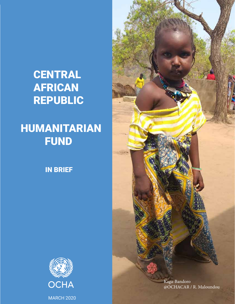# **CENTRAL** AFRICAN REPUBLIC

# HUMANITARIAN **FUND**

IN BRIEF





Kaga-Bandoro @OCHACAR / R. Maloundou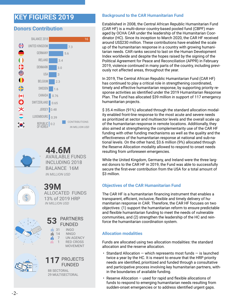# **KEY FIGURES 2019**

# **Donors Contribution**





*IN MILLION USD* **44.6M** AVAILABLE FUNDS INCLUDING 2018 BALANCE 16M



*IN MILLION USD* **39M** ALLOCATED FUNDS 13% of 2019 HRP

**53**

ė

ன்



|           | $\mathbf{x}$ |
|-----------|--------------|
|           |              |
| 0         |              |
| 88<br>0 0 |              |
|           |              |

# **117** PROJECTS FUNDED

88 SECTORAL 29 MULTISECTORAL

**31** INGO<br>**6** 14 NNGC

NNGO 7 UN AGENCY 1 RED CROSS MOVEMENT

PARTNERS FUNDED

## **Background to the CAR Humanitarian Fund**

Established in 2008, the Central African Republic Humanitarian Fund (CAR HF) is a multi-donor country-based pooled fund (CBPF) managed by OCHA CAR under the leadership of the Humanitarian Coordinator (HC). Since its inception to March 2020, the CAR HF received around US\$230 million. These contributions have enabled the scale up of the humanitarian response in a country with growing humanitarian needs. CAR ranks second to last on the Human Development Index worldwide and despite the hopes raised by the signing of the Political Agreement for Peace and Reconciliation (APPR) in February 2019, violence continued in many parts of the country, including previously not affected areas, throughout the year.

In 2019, The Central African Republic Humanitarian Fund (CAR HF) has continued to play a critical role in strengthening coordinated, timely and effective humanitarian response, by supporting priority response activities as identified under the 2019 Humanitarian Response Plan. The Fund has allocated \$39 million in support of 117 emergency humanitarian projects.

\$ 35.4 million (91%) allocated through the standard allocation modality enabled front-line response to the most acute and severe needs as prioritized at sector and multisector levels and the overall scale up of the humanitarian response in remote locations. Additionally, they also aimed at strengthening the complementarity use of the CAR HF funding with other funding mechanisms as well as the quality and the effectiveness of the humanitarian response at national and sub-national levels. On the other hand, \$3.6 million (9%) allocated through the Reserve Allocation modality allowed to respond to onset needs resulting from unforeseen emergencies.

While the United Kingdom, Germany, and Ireland were the three largest donors to the CAR HF in 2019, the Fund was able to successfully secure the first-ever contribution from the USA for a total amount of \$3 million.

# **Objectives of the CAR Humanitarian Fund**

The CAR HF is a humanitarian financing instrument that enables a transparent, efficient, inclusive, flexible and timely delivery of humanitarian response in CAR. Therefore, the CAR HF focuses on two objectives: (1) support the humanitarian reform to ensure predictable and flexible humanitarian funding to meet the needs of vulnerable communities, and (2) strengthen the leadership of the HC and reinforce the humanitarian coordination system.

## **Allocation modalities**

Funds are allocated using two allocation modalities: the standard allocation and the reserve allocation.

- Standard Allocation  $-$  which represents most funds  $-$  is launched twice a year by the HC. It is meant to ensure that the HRP priority needs are identified, prioritized and funded through a consultative and participative process involving key humanitarian partners, within the boundaries of available funding.
- Reserve Allocation used for rapid and flexible allocations of funds to respond to emerging humanitarian needs resulting from sudden-onset emergencies or to address identified urgent gaps.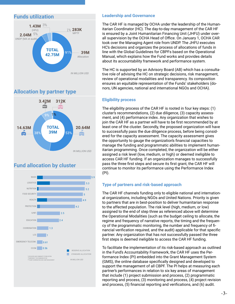



# **Allocation by partner type**



# **Fund allocation by cluster**



# **Leadership and Governance**

The CAR HF is managed by OCHA under the leadership of the Humanitarian Coordinator (HC). The day-to-day management of the CAR HF is ensured by a Joint Humanitarian Financing Unit (JHFU) under overall supervision by the OCHA Head of Office. On January 1, OCHA CAR took over the Managing Agent role from UNDP. The JHFU executes HC's decisions and organizes the process of allocations of funds in line with the Global Guidelines for CBPFs based on the Operational Manual, which explains how the Fund works and provides details about its accountability framework and performance system.

The HC is supported by an Advisory Board (AB) which has a consultative role of advising the HC on strategic decisions, risk management, review of operational modalities and transparency. Its composition ensures an equitable representation of the Funds' stakeholders (donors, UN agencies, national and international NGOs and OCHA).

## **Eligibility process**

The eligibility process of the CAR HF is rooted in four key steps: (1) cluster's recommendations, (2) due diligence, (3) capacity assessment, and (4) performance index. Any organization that wishes to join the CAR HF as a partner will have to be first recommended by at least one of the cluster. Secondly, the proposed organization will have to successfully pass the due diligence process, before being considered for the capacity assessment. The capacity assessment gives the opportunity to gauge the organization's financial capacities to manage the funding and programmatic abilities to implement humanitarian programming. Once completed, the organization will be either assigned a risk level (low, medium, or high) or deemed ineligible to access CAR HF funding. If an organization manages to successfully pass the three first steps and secure its first grant, the CAR HF will continue to monitor its performance using the Performance Index (PI).

# **Type of partners and risk-based approach**

The CAR HF channels funding only to eligible national and international organizations, including NGOs and United Nations. Priority is given to partners that are in best-position to deliver humanitarian response to the affected population. The risk level (high, medium, or low) assigned to the end of step three as referenced above will determine the Operational Modalities (such as the budget ceiling to allocate, the regime and frequency of narrative reports, the timing and the frequency of the programmatic monitoring, the number and frequency of financial verification required, and the audit) applicable for that specific partner. Any organization that has not successfully passed the three first steps is deemed ineligible to access the CAR HF funding.

To facilitate the implementation of its risk-based approach as outlined in the Fund's Accountability Framework, the CAR HF uses the Performance Index (PI) embedded into the Grant Management System (GMS), the online database specifically designed and developed to support the management of all CBPF. The PI helps at measuring each partner's performances in relation to six key areas of management that include (1) project submission and process, (2) programmatic reporting and process, (3) monitoring and process, (4) project revision and process, (5) financial reporting and verifications, and (6) audit.